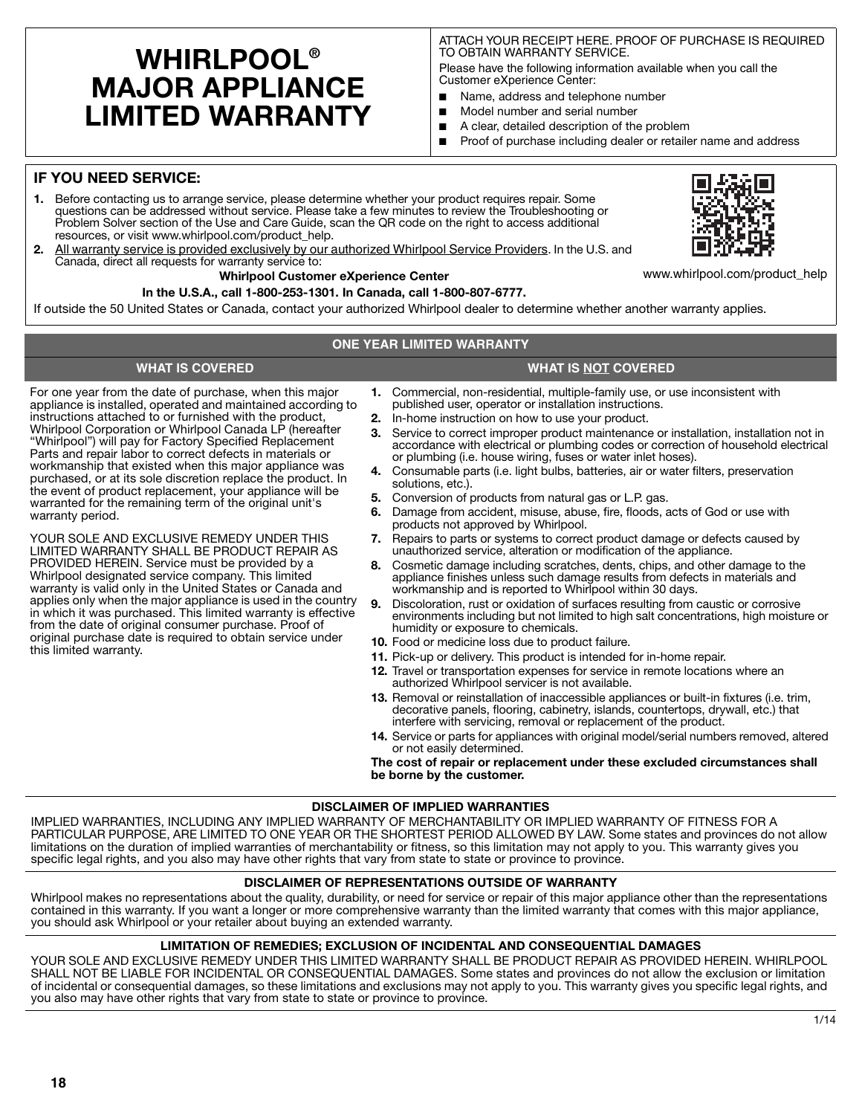# **WHIRLPOOL® MAJOR APPLIANCE LIMITED WARRANTY**

ATTACH YOUR RECEIPT HERE. PROOF OF PURCHASE IS REQUIRED TO OBTAIN WARRANTY SERVICE.

Please have the following information available when you call the Customer eXperience Center:

- Name, address and telephone number
- Model number and serial number
- A clear, detailed description of the problem
- Proof of purchase including dealer or retailer name and address

# **IF YOU NEED SERVICE:**

- **1.** Before contacting us to arrange service, please determine whether your product requires repair. Some questions can be addressed without service. Please take a few minutes to review the Troubleshooting or Problem Solver section of the Use and Care Guide, scan the QR code on the right to access additional resources, or visit www.whirlpool.com/product\_help.
- **2.** All warranty service is provided exclusively by our authorized Whirlpool Service Providers. In the U.S. and Canada, direct all requests for warranty service to:

**Whirlpool Customer eXperience Center**

#### **In the U.S.A., call 1-800-253-1301. In Canada, call 1-800-807-6777.**

If outside the 50 United States or Canada, contact your authorized Whirlpool dealer to determine whether another warranty applies.

## **ONE YEAR LIMITED WARRANTY**

### **WHAT IS COVERED WHAT IS NOT COVERED**

For one year from the date of purchase, when this major appliance is installed, operated and maintained according to instructions attached to or furnished with the product, Whirlpool Corporation or Whirlpool Canada LP (hereafter "Whirlpool") will pay for Factory Specified Replacement Parts and repair labor to correct defects in materials or workmanship that existed when this major appliance was purchased, or at its sole discretion replace the product. In the event of product replacement, your appliance will be warranted for the remaining term of the original unit's warranty period.

YOUR SOLE AND EXCLUSIVE REMEDY UNDER THIS LIMITED WARRANTY SHALL BE PRODUCT REPAIR AS PROVIDED HEREIN. Service must be provided by a Whirlpool designated service company. This limited warranty is valid only in the United States or Canada and applies only when the major appliance is used in the country in which it was purchased. This limited warranty is effective from the date of original consumer purchase. Proof of original purchase date is required to obtain service under this limited warranty.

- **1.** Commercial, non-residential, multiple-family use, or use inconsistent with published user, operator or installation instructions.
- **2.** In-home instruction on how to use your product.
- **3.** Service to correct improper product maintenance or installation, installation not in accordance with electrical or plumbing codes or correction of household electrical or plumbing (i.e. house wiring, fuses or water inlet hoses).
- **4.** Consumable parts (i.e. light bulbs, batteries, air or water filters, preservation solutions, etc.).
- **5.** Conversion of products from natural gas or L.P. gas.
- **6.** Damage from accident, misuse, abuse, fire, floods, acts of God or use with products not approved by Whirlpool.
- **7.** Repairs to parts or systems to correct product damage or defects caused by unauthorized service, alteration or modification of the appliance.
- **8.** Cosmetic damage including scratches, dents, chips, and other damage to the appliance finishes unless such damage results from defects in materials and workmanship and is reported to Whirlpool within 30 days.
- **9.** Discoloration, rust or oxidation of surfaces resulting from caustic or corrosive environments including but not limited to high salt concentrations, high moisture or humidity or exposure to chemicals.
- **10.** Food or medicine loss due to product failure.
- **11.** Pick-up or delivery. This product is intended for in-home repair.
- **12.** Travel or transportation expenses for service in remote locations where an authorized Whirlpool servicer is not available.
- **13.** Removal or reinstallation of inaccessible appliances or built-in fixtures (i.e. trim, decorative panels, flooring, cabinetry, islands, countertops, drywall, etc.) that interfere with servicing, removal or replacement of the product.
- **14.** Service or parts for appliances with original model/serial numbers removed, altered or not easily determined.

**The cost of repair or replacement under these excluded circumstances shall be borne by the customer.** 

#### **DISCLAIMER OF IMPLIED WARRANTIES**

IMPLIED WARRANTIES, INCLUDING ANY IMPLIED WARRANTY OF MERCHANTABILITY OR IMPLIED WARRANTY OF FITNESS FOR A PARTICULAR PURPOSE, ARE LIMITED TO ONE YEAR OR THE SHORTEST PERIOD ALLOWED BY LAW. Some states and provinces do not allow limitations on the duration of implied warranties of merchantability or fitness, so this limitation may not apply to you. This warranty gives you specific legal rights, and you also may have other rights that vary from state to state or province to province.

#### **DISCLAIMER OF REPRESENTATIONS OUTSIDE OF WARRANTY**

Whirlpool makes no representations about the quality, durability, or need for service or repair of this major appliance other than the representations contained in this warranty. If you want a longer or more comprehensive warranty than the limited warranty that comes with this major appliance, you should ask Whirlpool or your retailer about buying an extended warranty.

#### **LIMITATION OF REMEDIES; EXCLUSION OF INCIDENTAL AND CONSEQUENTIAL DAMAGES**

YOUR SOLE AND EXCLUSIVE REMEDY UNDER THIS LIMITED WARRANTY SHALL BE PRODUCT REPAIR AS PROVIDED HEREIN. WHIRLPOOL SHALL NOT BE LIABLE FOR INCIDENTAL OR CONSEQUENTIAL DAMAGES. Some states and provinces do not allow the exclusion or limitation of incidental or consequential damages, so these limitations and exclusions may not apply to you. This warranty gives you specific legal rights, and you also may have other rights that vary from state to state or province to province.

**18**



www.whirlpool.com/product\_help